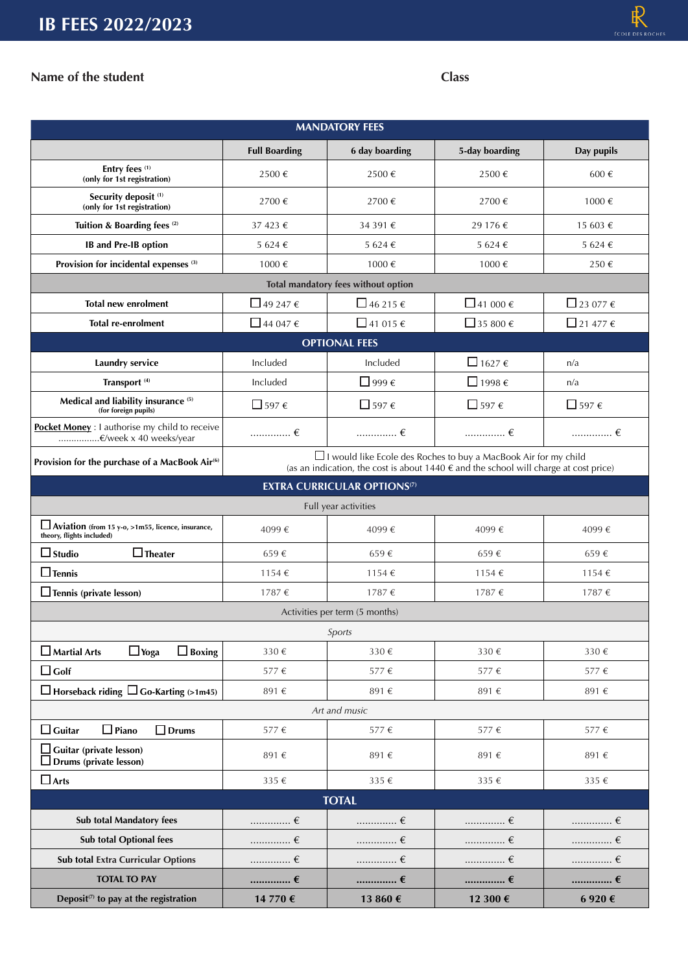## **Name of the student Class**

| <b>MANDATORY FEES</b>                                                          |                                                                                                                                                                                  |                                    |                        |                          |  |  |  |  |  |
|--------------------------------------------------------------------------------|----------------------------------------------------------------------------------------------------------------------------------------------------------------------------------|------------------------------------|------------------------|--------------------------|--|--|--|--|--|
|                                                                                | <b>Full Boarding</b>                                                                                                                                                             | 6 day boarding                     | 5-day boarding         | Day pupils               |  |  |  |  |  |
| Entry fees (1)<br>(only for 1st registration)                                  | 2500€                                                                                                                                                                            | 2500€                              | 2500€                  | 600€                     |  |  |  |  |  |
| Security deposit <sup>(1)</sup><br>(only for 1st registration)                 | 2700€                                                                                                                                                                            | 2700€                              | 2700€                  | 1000€                    |  |  |  |  |  |
| Tuition & Boarding fees <sup>(2)</sup>                                         | 37 423 €                                                                                                                                                                         | 34 391 €                           | 29 176 €               | 15 603 €                 |  |  |  |  |  |
| <b>IB</b> and Pre-IB option                                                    | 5 624 €                                                                                                                                                                          | 5 624 €                            | 5 624 €                | 5 624 €                  |  |  |  |  |  |
| Provision for incidental expenses <sup>(3)</sup>                               | 1000€<br>1000€                                                                                                                                                                   |                                    | 1000€                  | 250€                     |  |  |  |  |  |
| Total mandatory fees without option                                            |                                                                                                                                                                                  |                                    |                        |                          |  |  |  |  |  |
| <b>Total new enrolment</b>                                                     | $\Box$ 49 247 $\epsilon$                                                                                                                                                         | □ 46 215 $\epsilon$                | $\Box$ 41 000 €        | $\Box$ 23 077 $\epsilon$ |  |  |  |  |  |
| <b>Total re-enrolment</b>                                                      | $\Box$ 44 047 $\epsilon$                                                                                                                                                         | $\Box$ 41 015 $\epsilon$           | □ 35 800 $\epsilon$    | $\Box$ 21 477 $\epsilon$ |  |  |  |  |  |
| <b>OPTIONAL FEES</b>                                                           |                                                                                                                                                                                  |                                    |                        |                          |  |  |  |  |  |
| Laundry service                                                                | Included                                                                                                                                                                         | Included                           | $1627 \in$             | n/a                      |  |  |  |  |  |
| Transport <sup>(4)</sup>                                                       | Included                                                                                                                                                                         | $\Box$ 999 $\epsilon$              | $\Box$ 1998 $\epsilon$ | n/a                      |  |  |  |  |  |
| Medical and liability insurance <sup>(5)</sup><br>(for foreign pupils)         | □ 597 $\epsilon$                                                                                                                                                                 | □ 597 $\epsilon$                   | □ 597 $\epsilon$       | □ 597 $\epsilon$         |  |  |  |  |  |
| Pocket Money : I authorise my child to receive<br>€/week x 40 weeks/year       | $\ldots\ldots\ldots\ldots\in$                                                                                                                                                    | $\ldots$ $\epsilon$                |                        |                          |  |  |  |  |  |
| Provision for the purchase of a MacBook Air <sup>(6)</sup>                     | $\Box$ I would like Ecole des Roches to buy a MacBook Air for my child<br>(as an indication, the cost is about $1440 \text{ }\epsilon$ and the school will charge at cost price) |                                    |                        |                          |  |  |  |  |  |
|                                                                                |                                                                                                                                                                                  | <b>EXTRA CURRICULAR OPTIONS(7)</b> |                        |                          |  |  |  |  |  |
| Full year activities                                                           |                                                                                                                                                                                  |                                    |                        |                          |  |  |  |  |  |
| Aviation (from 15 y-o, >1m55, licence, insurance,<br>theory, flights included) | 4099€                                                                                                                                                                            | 4099€                              | 4099€                  | 4099€                    |  |  |  |  |  |
| $\Box$ Studio<br>$\Box$ Theater                                                | 659€                                                                                                                                                                             | 659€                               | 659€                   | 659€                     |  |  |  |  |  |
| $\square$ Tennis                                                               | 1154 €                                                                                                                                                                           | 1154€                              | 1154 €                 | 1154 €                   |  |  |  |  |  |
| $\Box$ Tennis (private lesson)                                                 | 1787€                                                                                                                                                                            | 1787€                              | 1787 €                 | 1787 €                   |  |  |  |  |  |
| Activities per term (5 months)                                                 |                                                                                                                                                                                  |                                    |                        |                          |  |  |  |  |  |
| Sports                                                                         |                                                                                                                                                                                  |                                    |                        |                          |  |  |  |  |  |
| $\Box$ Boxing<br>$\Box$ Martial Arts<br>$\Box$ Yoga                            | 330€                                                                                                                                                                             | 330€                               | 330€                   | 330 €                    |  |  |  |  |  |
| $\Box$ Golf                                                                    | 577€                                                                                                                                                                             | 577€                               | 577€                   | 577€                     |  |  |  |  |  |
| $\Box$ Horseback riding $\Box$ Go-Karting (>1m45)                              | 891€                                                                                                                                                                             | 891€                               | 891€                   | 891€                     |  |  |  |  |  |
| Art and music                                                                  |                                                                                                                                                                                  |                                    |                        |                          |  |  |  |  |  |
| $\Box$ Piano<br>$\Box$ Guitar<br>$\square$ Drums                               | 577 $\in$                                                                                                                                                                        | 577€                               | 577€                   | 577€                     |  |  |  |  |  |
| $\square$ Guitar (private lesson)<br>Drums (private lesson)                    | 891€                                                                                                                                                                             | 891€                               | 891€                   | 891€                     |  |  |  |  |  |
| $\Box$ Arts                                                                    | 335€                                                                                                                                                                             | 335€                               | 335 €                  | 335 €                    |  |  |  |  |  |
| <b>TOTAL</b>                                                                   |                                                                                                                                                                                  |                                    |                        |                          |  |  |  |  |  |
| <b>Sub total Mandatory fees</b>                                                | …………… €                                                                                                                                                                          | $\ldots$ $\epsilon$                | …………… €                | $\ldots$ $\epsilon$      |  |  |  |  |  |
| Sub total Optional fees                                                        | …………… €                                                                                                                                                                          | . $\epsilon$                       |                        | …………… €                  |  |  |  |  |  |
| Sub total Extra Curricular Options                                             | …………… €                                                                                                                                                                          | . $\in$                            | …………… €                | . $\epsilon$             |  |  |  |  |  |
| <b>TOTAL TO PAY</b>                                                            | …………… €                                                                                                                                                                          | …………… €                            |                        | …………… €                  |  |  |  |  |  |
| Deposit <sup><math>(7)</math></sup> to pay at the registration                 | 14 770 €                                                                                                                                                                         | 13 860 €                           | 12 300 €               | $6$ 920 $\in$            |  |  |  |  |  |